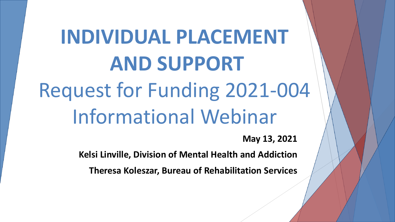# **INDIVIDUAL PLACEMENT AND SUPPORT** Request for Funding 2021-004 Informational Webinar

**May 13, 2021**

**Kelsi Linville, Division of Mental Health and Addiction** 

**Theresa Koleszar, Bureau of Rehabilitation Services**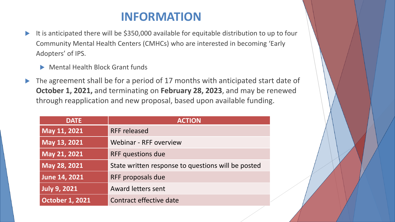#### **INFORMATION**

- It is anticipated there will be \$350,000 available for equitable distribution to up to four Community Mental Health Centers (CMHCs) who are interested in becoming 'Early Adopters' of IPS.
	- Mental Health Block Grant funds
- The agreement shall be for a period of 17 months with anticipated start date of **October 1, 2021,** and terminating on **February 28, 2023**, and may be renewed through reapplication and new proposal, based upon available funding.

| <b>DATE</b>            | <b>ACTION</b>                                      |
|------------------------|----------------------------------------------------|
| May 11, 2021           | <b>RFF released</b>                                |
| May 13, 2021           | Webinar - RFF overview                             |
| May 21, 2021           | RFF questions due                                  |
| May 28, 2021           | State written response to questions will be posted |
| <b>June 14, 2021</b>   | RFF proposals due                                  |
| <b>July 9, 2021</b>    | <b>Award letters sent</b>                          |
| <b>October 1, 2021</b> | Contract effective date                            |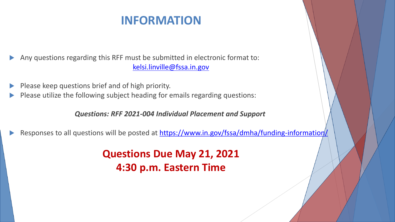### **INFORMATION**

 Any questions regarding this RFF must be submitted in electronic format to: [kelsi.linville@fssa.in.gov](mailto:kelsi.linville@fssa.in.gov)

- Please keep questions brief and of high priority.
- Please utilize the following subject heading for emails regarding questions:

*Questions: RFF 2021-004 Individual Placement and Support*

Responses to all questions will be posted at <https://www.in.gov/fssa/dmha/funding-information/>

**Questions Due May 21, 2021 4:30 p.m. Eastern Time**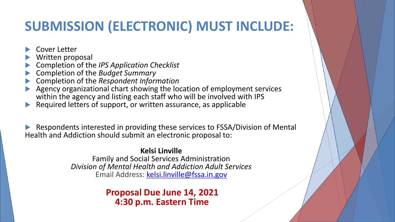# **SUBMISSION (ELECTRONIC) MUST INCLUDE:**

- Cover Letter
- Written proposal
- Completion of the *IPS Application Checklist*
- Completion of the *Budget Summary*
- Completion of the *Respondent Information*
- Agency organizational chart showing the location of employment services within the agency and listing each staff who will be involved with IPS
- Required letters of support, or written assurance, as applicable

 Respondents interested in providing these services to FSSA/Division of Mental Health and Addiction should submit an electronic proposal to:

> **Kelsi Linville** Family and Social Services Administration *Division of Mental Health and Addiction Adult Services* Email Address: [kelsi.linville@fssa.in.gov](mailto:kelsi.linville@fssa.in.gov)

> > **Proposal Due June 14, 2021 4:30 p.m. Eastern Time**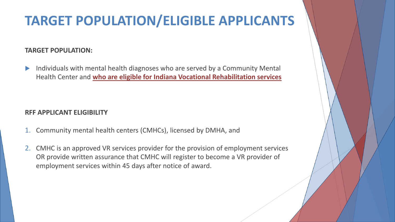# **TARGET POPULATION/ELIGIBLE APPLICANTS**

#### **TARGET POPULATION:**

 Individuals with mental health diagnoses who are served by a Community Mental Health Center and **who are eligible for Indiana Vocational Rehabilitation services**

#### **RFF APPLICANT ELIGIBILITY**

- 1. Community mental health centers (CMHCs), licensed by DMHA, and
- 2. CMHC is an approved VR services provider for the provision of employment services OR provide written assurance that CMHC will register to become a VR provider of employment services within 45 days after notice of award.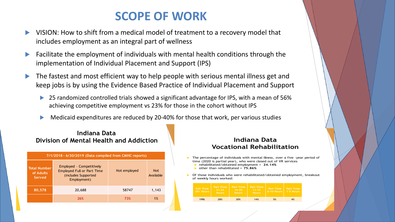### **SCOPE OF WORK**

- VISION: How to shift from a medical model of treatment to a recovery model that includes employment as an integral part of wellness
- Facilitate the employment of individuals with mental health conditions through the implementation of Individual Placement and Support (IPS)
- The fastest and most efficient way to help people with serious mental illness get and keep jobs is by using the Evidence Based Practice of Individual Placement and Support
	- 25 randomized controlled trials showed a significant advantage for IPS, with a mean of 56% achieving competitive employment vs 23% for those in the cohort without IPS
	- Medicaid expenditures are reduced by 20-40% for those that work, per various studies

#### **Indiana Data Division of Mental Health and Addiction**

| 7/1/2018 - 6/30/2019 (Data compiled from CMHC reports) |                                                                                                     |              |                         |  |  |  |
|--------------------------------------------------------|-----------------------------------------------------------------------------------------------------|--------------|-------------------------|--|--|--|
| <b>Total Number</b><br>of Adults<br>Served             | Employed - Competitively<br><b>Employed Full or Part Time</b><br>(includes Supported<br>Employment) | Not employed | <b>Not</b><br>Available |  |  |  |
| 80,578                                                 | 20,688                                                                                              | 58747        | 1,143                   |  |  |  |
|                                                        | 26%                                                                                                 | 73%          | 1%                      |  |  |  |

#### **Indiana Data Vocational Rehabilitation**

- The percentage of individuals with mental illness, over a five -year period of ▶ time (2020 is partial year), who were closed out of VR services rehabilitated/obtained employment =  $24.14%$ 
	- $\triangleright$  other than rehabilitated = 75.86%

Of those individuals who were rehabilitated/obtained employment, breakout ▶ of weekly hours worked:

| <b>Full Time</b><br>$35 +$ Hours | Part Time<br>$21 - 34$<br><b>Hours</b> | Part Time<br>$16 - 20$<br><b>Hours</b> | Part Time<br>$11 - 15$<br><b>Hours</b> | Part Time<br>$6-10$ Hours $1-5$ Hours | Part Time |
|----------------------------------|----------------------------------------|----------------------------------------|----------------------------------------|---------------------------------------|-----------|
| 19%                              | 28%                                    | 30%                                    | 14%                                    | 5%                                    | 4%        |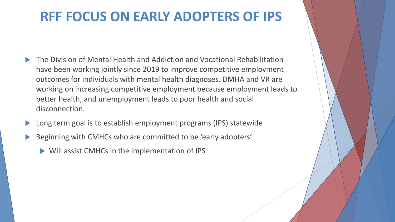## **RFF FOCUS ON EARLY ADOPTERS OF IPS**

- The Division of Mental Health and Addiction and Vocational Rehabilitation have been working jointly since 2019 to improve competitive employment outcomes for individuals with mental health diagnoses. DMHA and VR are working on increasing competitive employment because employment leads to better health, and unemployment leads to poor health and social disconnection.
- Long term goal is to establish employment programs (IPS) statewide
- Beginning with CMHCs who are committed to be 'early adopters'
	- Will assist CMHCs in the implementation of IPS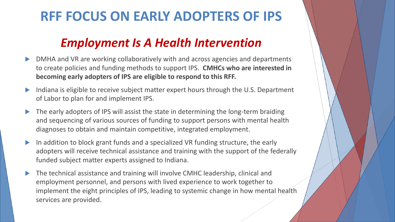# **RFF FOCUS ON EARLY ADOPTERS OF IPS**

### *Employment Is A Health Intervention*

- DMHA and VR are working collaboratively with and across agencies and departments to create policies and funding methods to support IPS. **CMHCs who are interested in becoming early adopters of IPS are eligible to respond to this RFF.**
- Indiana is eligible to receive subject matter expert hours through the U.S. Department of Labor to plan for and implement IPS.
- The early adopters of IPS will assist the state in determining the long-term braiding and sequencing of various sources of funding to support persons with mental health diagnoses to obtain and maintain competitive, integrated employment.
- In addition to block grant funds and a specialized VR funding structure, the early adopters will receive technical assistance and training with the support of the federally funded subject matter experts assigned to Indiana.
- The technical assistance and training will involve CMHC leadership, clinical and employment personnel, and persons with lived experience to work together to implement the eight principles of IPS, leading to systemic change in how mental health services are provided.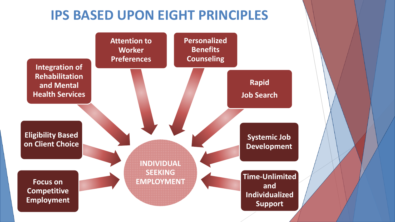## **IPS BASED UPON EIGHT PRINCIPLES**

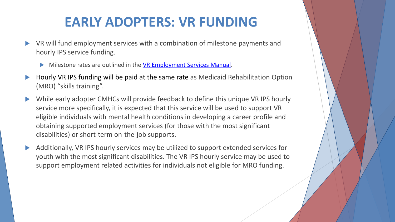## **EARLY ADOPTERS: VR FUNDING**

- VR will fund employment services with a combination of milestone payments and hourly IPS service funding.
	- Milestone rates are outlined in the **[VR Employment Services Manual](https://www.in.gov/fssa/ddrs/files/VR-Manual-of-Employment-Services-February-2019.pdf)**.
- Hourly VR IPS funding will be paid at the same rate as Medicaid Rehabilitation Option (MRO) "skills training".
- While early adopter CMHCs will provide feedback to define this unique VR IPS hourly service more specifically, it is expected that this service will be used to support VR eligible individuals with mental health conditions in developing a career profile and obtaining supported employment services (for those with the most significant disabilities) or short-term on-the-job supports.
- Additionally, VR IPS hourly services may be utilized to support extended services for youth with the most significant disabilities. The VR IPS hourly service may be used to support employment related activities for individuals not eligible for MRO funding.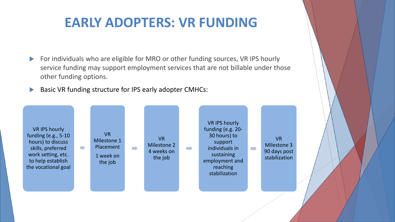## **EARLY ADOPTERS: VR FUNDING**

- For individuals who are eligible for MRO or other funding sources, VR IPS hourly service funding may support employment services that are not billable under those other funding options.
- Basic VR funding structure for IPS early adopter CMHCs:

VR IPS hourly funding (e.g., 5-10 hours) to discuss skills, preferred work setting, etc. to help establish the vocational goal

 $\blacksquare$ 

VR Milestone 1 Placement  $\blacksquare$ 1 week on the job

VR Milestone 2 4 weeks on the job

 $\blacksquare$ 

VR IPS hourly funding (e.g. 20- 30 hours) to support individuals in sustaining employment and reaching stabilization

VR Milestone 3 90 days post stabilization

 $\blacksquare$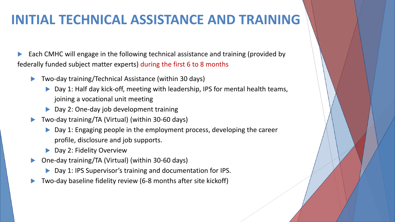### **INITIAL TECHNICAL ASSISTANCE AND TRAINING**

Each CMHC will engage in the following technical assistance and training (provided by federally funded subject matter experts) during the first 6 to 8 months

- Two-day training/Technical Assistance (within 30 days)
	- ▶ Day 1: Half day kick-off, meeting with leadership, IPS for mental health teams, joining a vocational unit meeting
	- ▶ Day 2: One-day job development training
- Two-day training/TA (Virtual) (within 30-60 days)
	- ▶ Day 1: Engaging people in the employment process, developing the career profile, disclosure and job supports.
	- ▶ Day 2: Fidelity Overview
- One-day training/TA (Virtual) (within 30-60 days)
	- ▶ Day 1: IPS Supervisor's training and documentation for IPS.
- Two-day baseline fidelity review (6-8 months after site kickoff)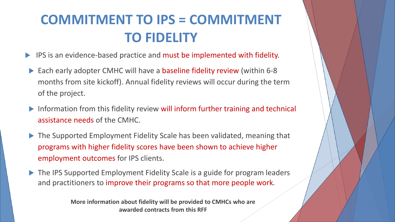# **COMMITMENT TO IPS = COMMITMENT TO FIDELITY**

- **IPS** is an evidence-based practice and must be implemented with fidelity.
- ▶ Each early adopter CMHC will have a baseline fidelity review (within 6-8 months from site kickoff). Annual fidelity reviews will occur during the term of the project.
- Information from this fidelity review will inform further training and technical assistance needs of the CMHC.
- ▶ The Supported Employment Fidelity Scale has been validated, meaning that programs with higher fidelity scores have been shown to achieve higher employment outcomes for IPS clients.
- ▶ The IPS Supported Employment Fidelity Scale is a guide for program leaders and practitioners to improve their programs so that more people work.

**More information about fidelity will be provided to CMHCs who are awarded contracts from this RFF**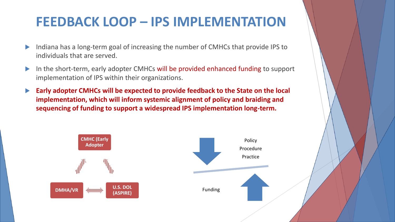### **FEEDBACK LOOP – IPS IMPLEMENTATION**

- Indiana has a long-term goal of increasing the number of CMHCs that provide IPS to individuals that are served.
- In the short-term, early adopter CMHCs will be provided enhanced funding to support implementation of IPS within their organizations.
- **Early adopter CMHCs will be expected to provide feedback to the State on the local implementation, which will inform systemic alignment of policy and braiding and sequencing of funding to support a widespread IPS implementation long-term.**

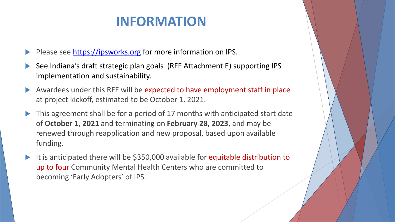## **INFORMATION**

- Please see [https://ipsworks.org](https://ipsworks.org/) for more information on IPS.
- See Indiana's draft strategic plan goals (RFF Attachment E) supporting IPS implementation and sustainability.
- Awardees under this RFF will be expected to have employment staff in place at project kickoff, estimated to be October 1, 2021.
- ▶ This agreement shall be for a period of 17 months with anticipated start date of **October 1, 2021** and terminating on **February 28, 2023**, and may be renewed through reapplication and new proposal, based upon available funding.
- It is anticipated there will be \$350,000 available for equitable distribution to up to four Community Mental Health Centers who are committed to becoming 'Early Adopters' of IPS.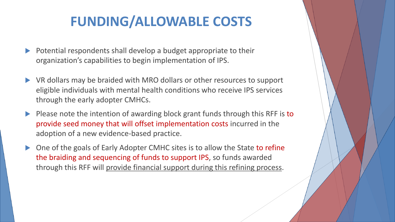# **FUNDING/ALLOWABLE COSTS**

- $\triangleright$  Potential respondents shall develop a budget appropriate to their organization's capabilities to begin implementation of IPS.
- VR dollars may be braided with MRO dollars or other resources to support eligible individuals with mental health conditions who receive IPS services through the early adopter CMHCs.
- Please note the intention of awarding block grant funds through this RFF is to provide seed money that will offset implementation costs incurred in the adoption of a new evidence-based practice.
- One of the goals of Early Adopter CMHC sites is to allow the State to refine the braiding and sequencing of funds to support IPS, so funds awarded through this RFF will provide financial support during this refining process.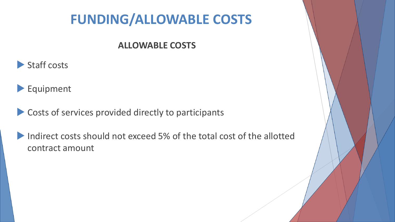# **FUNDING/ALLOWABLE COSTS**

#### **ALLOWABLE COSTS**





- **Costs of services provided directly to participants**
- Indirect costs should not exceed 5% of the total cost of the allotted contract amount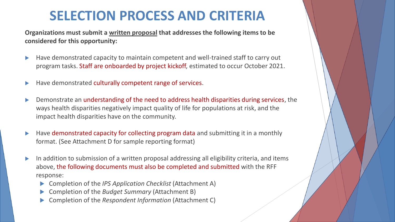## **SELECTION PROCESS AND CRITERIA**

**Organizations must submit a written proposal that addresses the following items to be considered for this opportunity:** 

- Have demonstrated capacity to maintain competent and well-trained staff to carry out program tasks. Staff are onboarded by project kickoff, estimated to occur October 2021.
- Have demonstrated culturally competent range of services.
- Demonstrate an understanding of the need to address health disparities during services, the ways health disparities negatively impact quality of life for populations at risk, and the impact health disparities have on the community.
- $\blacktriangleright$  Have demonstrated capacity for collecting program data and submitting it in a monthly format. (See Attachment D for sample reporting format)
- In addition to submission of a written proposal addressing all eligibility criteria, and items above, the following documents must also be completed and submitted with the RFF response:
	- Completion of the *IPS Application Checklist* (Attachment A)
	- Completion of the *Budget Summary* (Attachment B)
	- Completion of the *Respondent Information* (Attachment C)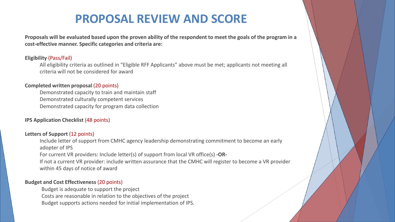#### **PROPOSAL REVIEW AND SCORE**

**Proposals will be evaluated based upon the proven ability of the respondent to meet the goals of the program in a cost-effective manner. Specific categories and criteria are:** 

#### **Eligibility** (Pass/Fail)

All eligibility criteria as outlined in "Eligible RFF Applicants" above must be met; applicants not meeting all criteria will not be considered for award

#### **Completed written proposal** (20 points)

Demonstrated capacity to train and maintain staff Demonstrated culturally competent services Demonstrated capacity for program data collection

#### **IPS Application Checklist** (48 points)

#### **Letters of Support** (12 points)

Include letter of support from CMHC agency leadership demonstrating commitment to become an early adopter of IPS

For current VR providers: Include letter(s) of support from local VR office(s) **-OR-**

If not a current VR provider: include written assurance that the CMHC will register to become a VR provider within 45 days of notice of award

#### **Budget and Cost Effectiveness** (20 points)

Budget is adequate to support the project

Costs are reasonable in relation to the objectives of the project

Budget supports actions needed for initial implementation of IPS.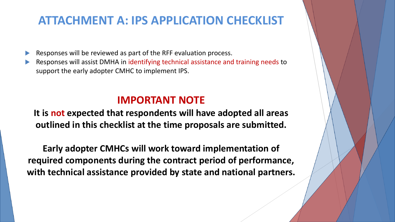#### **ATTACHMENT A: IPS APPLICATION CHECKLIST**

Responses will be reviewed as part of the RFF evaluation process.

 Responses will assist DMHA in identifying technical assistance and training needs to support the early adopter CMHC to implement IPS.

#### **IMPORTANT NOTE**

**It is not expected that respondents will have adopted all areas outlined in this checklist at the time proposals are submitted.** 

**Early adopter CMHCs will work toward implementation of required components during the contract period of performance, with technical assistance provided by state and national partners.**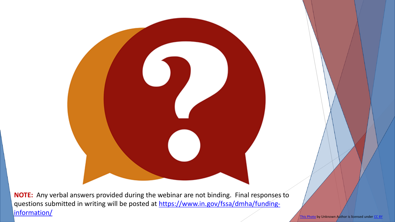**NOTE:** Any verbal answers provided during the webinar are not binding. Final responses to [questions submitted in writing will be posted at https://www.in.gov/fssa/dmha/funding](https://www.in.gov/fssa/dmha/funding-information/)information/